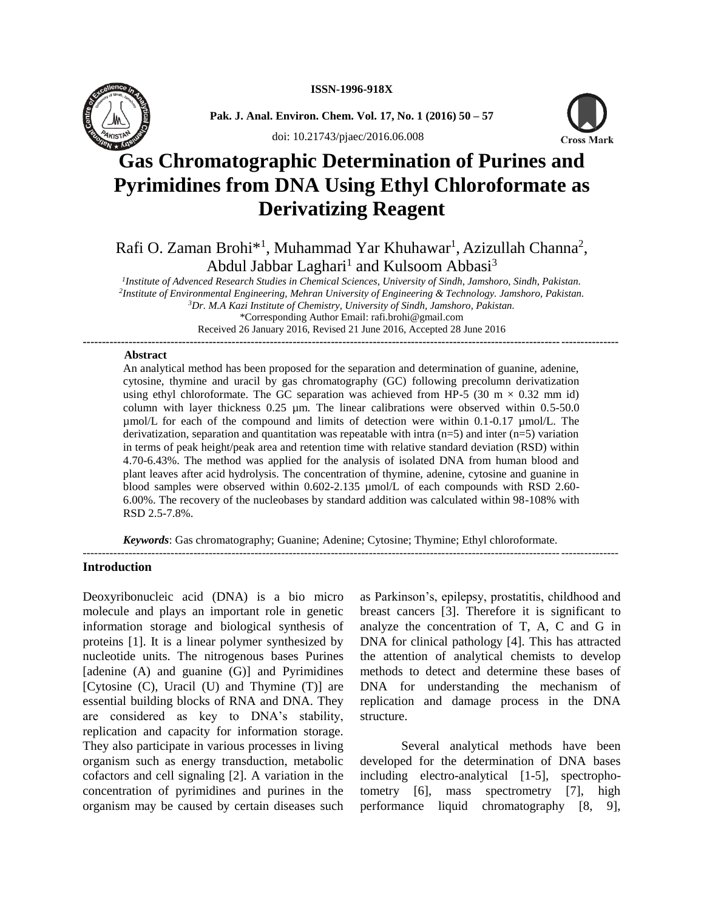

**Pak. J. Anal. Environ. Chem. Vol. 17, No. 1 (2016) 50 – 57** 



doi: 10.21743/pjaec/2016.06.008

# **Gas Chromatographic Determination of Purines and Pyrimidines from DNA Using Ethyl Chloroformate as Derivatizing Reagent**

# Rafi O. Zaman Brohi\*<sup>1</sup>, Muhammad Yar Khuhawar<sup>1</sup>, Azizullah Channa<sup>2</sup>, Abdul Jabbar Laghari<sup>1</sup> and Kulsoom Abbasi<sup>3</sup>

 *Institute of Advenced Research Studies in Chemical Sciences, University of Sindh, Jamshoro, Sindh, Pakistan. Institute of Environmental Engineering, Mehran University of Engineering & Technology. Jamshoro, Pakistan. Dr. M.A Kazi Institute of Chemistry, University of Sindh, Jamshoro, Pakistan.* \*Corresponding Author Email: rafi.brohi@gmail.com

Received 26 January 2016, Revised 21 June 2016, Accepted 28 June 2016 **--------------------------------------------------------------------------------------------------------------------------------------------**

#### **Abstract**

An analytical method has been proposed for the separation and determination of guanine, adenine, cytosine, thymine and uracil by gas chromatography (GC) following precolumn derivatization using ethyl chloroformate. The GC separation was achieved from HP-5 (30 m  $\times$  0.32 mm id) column with layer thickness 0.25 µm. The linear calibrations were observed within 0.5-50.0 µmol/L for each of the compound and limits of detection were within 0.1-0.17 µmol/L. The derivatization, separation and quantitation was repeatable with intra  $(n=5)$  and inter  $(n=5)$  variation in terms of peak height/peak area and retention time with relative standard deviation (RSD) within 4.70-6.43%. The method was applied for the analysis of isolated DNA from human blood and plant leaves after acid hydrolysis. The concentration of thymine, adenine, cytosine and guanine in blood samples were observed within 0.602-2.135 µmol/L of each compounds with RSD 2.60-6.00%. The recovery of the nucleobases by standard addition was calculated within 98-108% with RSD 2.5-7.8%.

*Keywords*: Gas chromatography; Guanine; Adenine; Cytosine; Thymine; Ethyl chloroformate.

--------------------------------------------------------------------------------------------------------------------------------------------

#### **Introduction**

Deoxyribonucleic acid (DNA) is a bio micro molecule and plays an important role in genetic information storage and biological synthesis of proteins [1]. It is a linear polymer synthesized by nucleotide units. The nitrogenous bases Purines [adenine (A) and guanine (G)] and Pyrimidines [Cytosine (C), Uracil (U) and Thymine (T)] are essential building blocks of RNA and DNA. They are considered as key to DNA's stability, replication and capacity for information storage. They also participate in various processes in living organism such as energy transduction, metabolic cofactors and cell signaling [2]. A variation in the concentration of pyrimidines and purines in the organism may be caused by certain diseases such as Parkinson's, epilepsy, prostatitis, childhood and breast cancers [3]. Therefore it is significant to analyze the concentration of T, A, C and G in DNA for clinical pathology [4]. This has attracted the attention of analytical chemists to develop methods to detect and determine these bases of DNA for understanding the mechanism of replication and damage process in the DNA structure.

Several analytical methods have been developed for the determination of DNA bases including electro-analytical [1-5], spectrophotometry [6], mass spectrometry [7], high performance liquid chromatography [8, 9],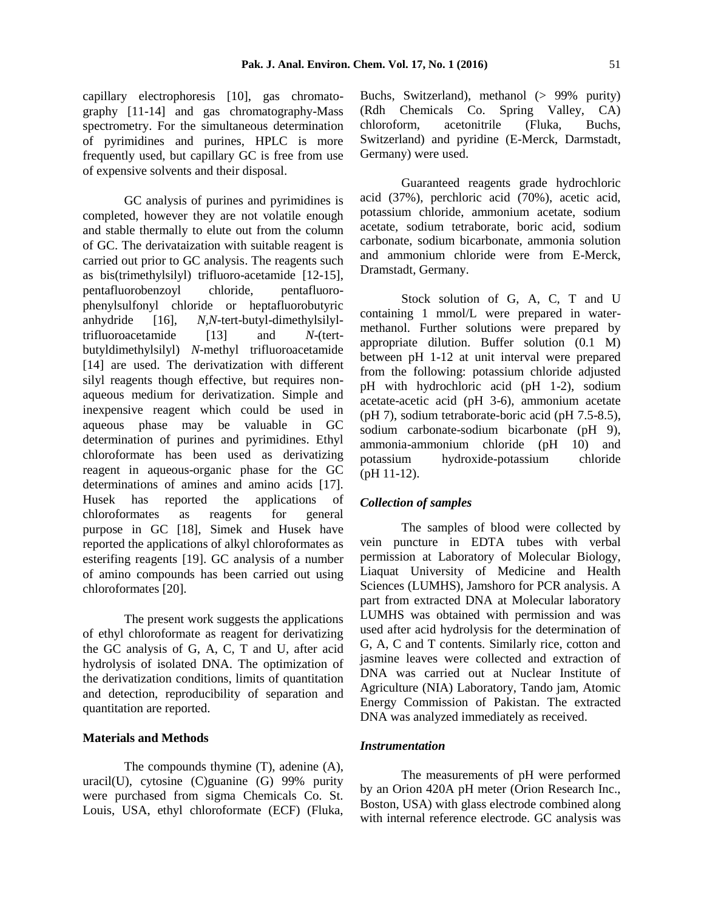capillary electrophoresis [10], gas chromatography [11-14] and gas chromatography-Mass spectrometry. For the simultaneous determination of pyrimidines and purines, HPLC is more frequently used, but capillary GC is free from use of expensive solvents and their disposal.

GC analysis of purines and pyrimidines is completed, however they are not volatile enough and stable thermally to elute out from the column of GC. The derivataization with suitable reagent is carried out prior to GC analysis. The reagents such as bis(trimethylsilyl) trifluoro-acetamide [12-15], pentafluorobenzoyl chloride, pentafluorophenylsulfonyl chloride or heptafluorobutyric anhydride [16], *N,N*-tert-butyl-dimethylsilyltrifluoroacetamide [13] and *N*-(tertbutyldimethylsilyl) *N*-methyl trifluoroacetamide [14] are used. The derivatization with different silyl reagents though effective, but requires nonaqueous medium for derivatization. Simple and inexpensive reagent which could be used in aqueous phase may be valuable in GC determination of purines and pyrimidines. Ethyl chloroformate has been used as derivatizing reagent in aqueous-organic phase for the GC determinations of amines and amino acids [17]. Husek has reported the applications of chloroformates as reagents for general purpose in GC [18], Simek and Husek have reported the applications of alkyl chloroformates as esterifing reagents [19]. GC analysis of a number of amino compounds has been carried out using chloroformates [20].

The present work suggests the applications of ethyl chloroformate as reagent for derivatizing the GC analysis of G, A, C, T and U, after acid hydrolysis of isolated DNA. The optimization of the derivatization conditions, limits of quantitation and detection, reproducibility of separation and quantitation are reported.

#### **Materials and Methods**

The compounds thymine (T), adenine (A), uracil(U), cytosine (C)guanine (G) 99% purity were purchased from sigma Chemicals Co. St. Louis, USA, ethyl chloroformate (ECF) (Fluka, Buchs, Switzerland), methanol (> 99% purity) (Rdh Chemicals Co. Spring Valley, CA) chloroform, acetonitrile (Fluka, Buchs, Switzerland) and pyridine (E-Merck, Darmstadt, Germany) were used.

Guaranteed reagents grade hydrochloric acid (37%), perchloric acid (70%), acetic acid, potassium chloride, ammonium acetate, sodium acetate, sodium tetraborate, boric acid, sodium carbonate, sodium bicarbonate, ammonia solution and ammonium chloride were from E-Merck, Dramstadt, Germany.

Stock solution of G, A, C, T and U containing 1 mmol/L were prepared in watermethanol. Further solutions were prepared by appropriate dilution. Buffer solution (0.1 M) between pH 1-12 at unit interval were prepared from the following: potassium chloride adjusted pH with hydrochloric acid (pH 1-2), sodium acetate-acetic acid (pH 3-6), ammonium acetate (pH 7), sodium tetraborate-boric acid (pH 7.5-8.5), sodium carbonate-sodium bicarbonate (pH 9), ammonia-ammonium chloride (pH 10) and potassium hydroxide-potassium chloride (pH 11-12).

#### *Collection of samples*

The samples of blood were collected by vein puncture in EDTA tubes with verbal permission at Laboratory of Molecular Biology, Liaquat University of Medicine and Health Sciences (LUMHS), Jamshoro for PCR analysis. A part from extracted DNA at Molecular laboratory LUMHS was obtained with permission and was used after acid hydrolysis for the determination of G, A, C and T contents. Similarly rice, cotton and jasmine leaves were collected and extraction of DNA was carried out at Nuclear Institute of Agriculture (NIA) Laboratory, Tando jam, Atomic Energy Commission of Pakistan. The extracted DNA was analyzed immediately as received.

#### *Instrumentation*

The measurements of pH were performed by an Orion 420A pH meter (Orion Research Inc., Boston, USA) with glass electrode combined along with internal reference electrode. GC analysis was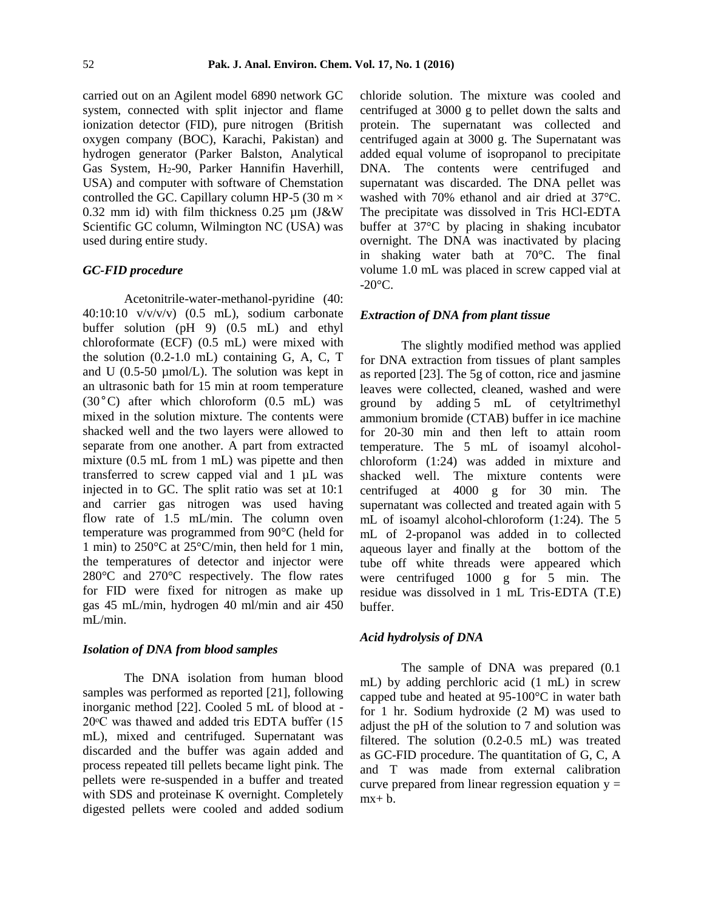carried out on an Agilent model 6890 network GC system, connected with split injector and flame ionization detector (FID), pure nitrogen (British oxygen company (BOC), Karachi, Pakistan) and hydrogen generator (Parker Balston, Analytical Gas System, H<sub>2</sub>-90, Parker Hannifin Haverhill, USA) and computer with software of Chemstation controlled the GC. Capillary column HP-5 (30 m  $\times$ 0.32 mm id) with film thickness 0.25 µm (J&W Scientific GC column, Wilmington NC (USA) was used during entire study.

# *GC-FID procedure*

Acetonitrile-water-methanol-pyridine (40:  $40:10:10$  v/v/v/v)  $(0.5$  mL), sodium carbonate buffer solution (pH 9) (0.5 mL) and ethyl chloroformate (ECF) (0.5 mL) were mixed with the solution  $(0.2-1.0 \text{ mL})$  containing G, A, C, T and U  $(0.5\n-50 \mu \text{mol/L})$ . The solution was kept in an ultrasonic bath for 15 min at room temperature (30°C) after which chloroform (0.5 mL) was mixed in the solution mixture. The contents were shacked well and the two layers were allowed to separate from one another. A part from extracted mixture (0.5 mL from 1 mL) was pipette and then transferred to screw capped vial and 1 µL was injected in to GC. The split ratio was set at 10:1 and carrier gas nitrogen was used having flow rate of 1.5 mL/min. The column oven temperature was programmed from 90°C (held for 1 min) to 250°C at 25°C/min, then held for 1 min, the temperatures of detector and injector were 280°C and 270°C respectively. The flow rates for FID were fixed for nitrogen as make up gas 45 mL/min, hydrogen 40 ml/min and air 450 mL/min.

#### *Isolation of DNA from blood samples*

The DNA isolation from human blood samples was performed as reported [21], following inorganic method [22]. Cooled 5 mL of blood at -  $20^{\circ}$ C was thawed and added tris EDTA buffer (15 mL), mixed and centrifuged. Supernatant was discarded and the buffer was again added and process repeated till pellets became light pink. The pellets were re-suspended in a buffer and treated with SDS and proteinase K overnight. Completely digested pellets were cooled and added sodium chloride solution. The mixture was cooled and centrifuged at 3000 g to pellet down the salts and protein. The supernatant was collected and centrifuged again at 3000 g. The Supernatant was added equal volume of isopropanol to precipitate DNA. The contents were centrifuged and supernatant was discarded. The DNA pellet was washed with 70% ethanol and air dried at 37°C. The precipitate was dissolved in Tris HCl-EDTA buffer at 37°C by placing in shaking incubator overnight. The DNA was inactivated by placing in shaking water bath at 70°C. The final volume 1.0 mL was placed in screw capped vial at  $-20^{\circ}$ C.

#### *Extraction of DNA from plant tissue*

The slightly modified method was applied for DNA extraction from tissues of plant samples as reported [23]. The 5g of cotton, rice and jasmine leaves were collected, cleaned, washed and were ground by adding 5 mL of cetyltrimethyl ammonium bromide (CTAB) buffer in ice machine for 20-30 min and then left to attain room temperature. The 5 mL of isoamyl alcoholchloroform (1:24) was added in mixture and shacked well. The mixture contents were centrifuged at 4000 g for 30 min. The supernatant was collected and treated again with 5 mL of isoamyl alcohol-chloroform (1:24). The 5 mL of 2-propanol was added in to collected aqueous layer and finally at the bottom of the tube off white threads were appeared which were centrifuged 1000 g for 5 min. The residue was dissolved in 1 mL Tris-EDTA (T.E) buffer.

# *Acid hydrolysis of DNA*

The sample of DNA was prepared (0.1 mL) by adding perchloric acid (1 mL) in screw capped tube and heated at 95-100°C in water bath for 1 hr. Sodium hydroxide (2 M) was used to adjust the pH of the solution to 7 and solution was filtered. The solution (0.2-0.5 mL) was treated as GC-FID procedure. The quantitation of G, C, A and T was made from external calibration curve prepared from linear regression equation  $y =$  $mx + b$ .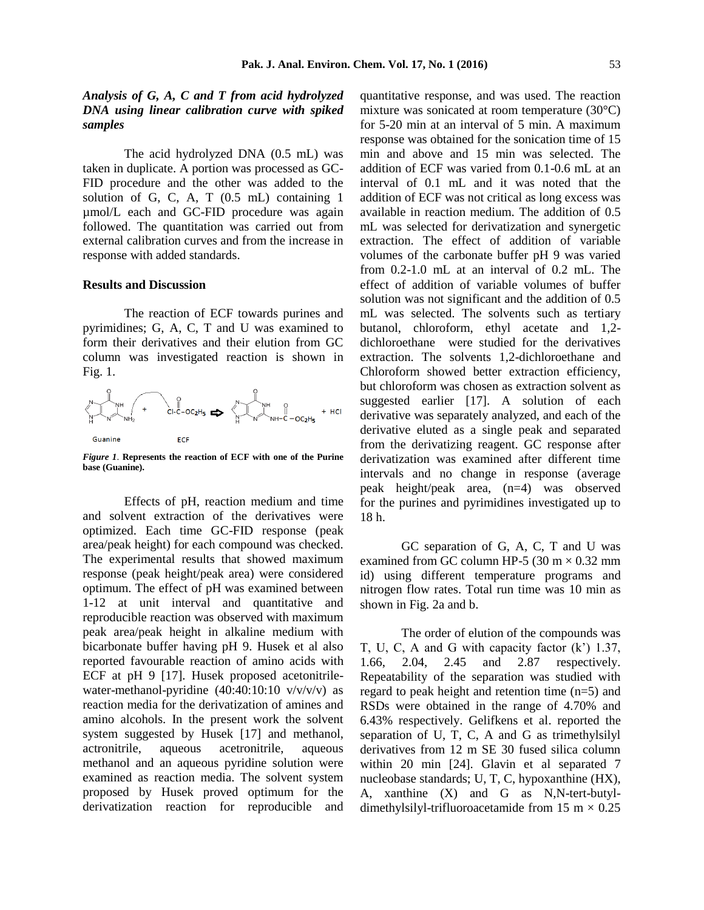# *Analysis of G, A, C and T from acid hydrolyzed DNA using linear calibration curve with spiked samples*

The acid hydrolyzed DNA (0.5 mL) was taken in duplicate. A portion was processed as GC-FID procedure and the other was added to the solution of G, C, A, T (0.5 mL) containing 1 µmol/L each and GC-FID procedure was again followed. The quantitation was carried out from external calibration curves and from the increase in response with added standards.

#### **Results and Discussion**

The reaction of ECF towards purines and pyrimidines; G, A, C, T and U was examined to form their derivatives and their elution from GC column was investigated reaction is shown in Fig. 1.



*Figure 1*. **Represents the reaction of ECF with one of the Purine base (Guanine).**

Effects of pH, reaction medium and time and solvent extraction of the derivatives were optimized. Each time GC-FID response (peak area/peak height) for each compound was checked. The experimental results that showed maximum response (peak height/peak area) were considered optimum. The effect of pH was examined between 1-12 at unit interval and quantitative and reproducible reaction was observed with maximum peak area/peak height in alkaline medium with bicarbonate buffer having pH 9. Husek et al also reported favourable reaction of amino acids with ECF at pH 9 [17]. Husek proposed acetonitrilewater-methanol-pyridine  $(40:40:10:10 \text{ v/v/v/v})$  as reaction media for the derivatization of amines and amino alcohols. In the present work the solvent system suggested by Husek [17] and methanol, actronitrile, aqueous acetronitrile, aqueous methanol and an aqueous pyridine solution were examined as reaction media. The solvent system proposed by Husek proved optimum for the derivatization reaction for reproducible and quantitative response, and was used. The reaction mixture was sonicated at room temperature (30°C) for 5-20 min at an interval of 5 min. A maximum response was obtained for the sonication time of 15 min and above and 15 min was selected. The addition of ECF was varied from 0.1-0.6 mL at an interval of 0.1 mL and it was noted that the addition of ECF was not critical as long excess was available in reaction medium. The addition of 0.5 mL was selected for derivatization and synergetic extraction. The effect of addition of variable volumes of the carbonate buffer pH 9 was varied from 0.2-1.0 mL at an interval of 0.2 mL. The effect of addition of variable volumes of buffer solution was not significant and the addition of 0.5 mL was selected. The solvents such as tertiary butanol, chloroform, ethyl acetate and 1,2 dichloroethane were studied for the derivatives extraction. The solvents 1,2-dichloroethane and Chloroform showed better extraction efficiency, but chloroform was chosen as extraction solvent as suggested earlier [17]. A solution of each derivative was separately analyzed, and each of the derivative eluted as a single peak and separated from the derivatizing reagent. GC response after derivatization was examined after different time intervals and no change in response (average peak height/peak area, (n=4) was observed for the purines and pyrimidines investigated up to 18 h.

GC separation of G, A, C, T and U was examined from GC column HP-5 (30 m  $\times$  0.32 mm id) using different temperature programs and nitrogen flow rates. Total run time was 10 min as shown in Fig. 2a and b.

The order of elution of the compounds was T, U, C, A and G with capacity factor (k') 1.37, 1.66, 2.04, 2.45 and 2.87 respectively. Repeatability of the separation was studied with regard to peak height and retention time (n=5) and RSDs were obtained in the range of 4.70% and 6.43% respectively. Gelifkens et al. reported the separation of U, T, C, A and G as trimethylsilyl derivatives from 12 m SE 30 fused silica column within 20 min [24]. Glavin et al separated 7 nucleobase standards; U, T, C, hypoxanthine (HX), A, xanthine (X) and G as N,N-tert-butyldimethylsilyl-trifluoroacetamide from 15 m  $\times$  0.25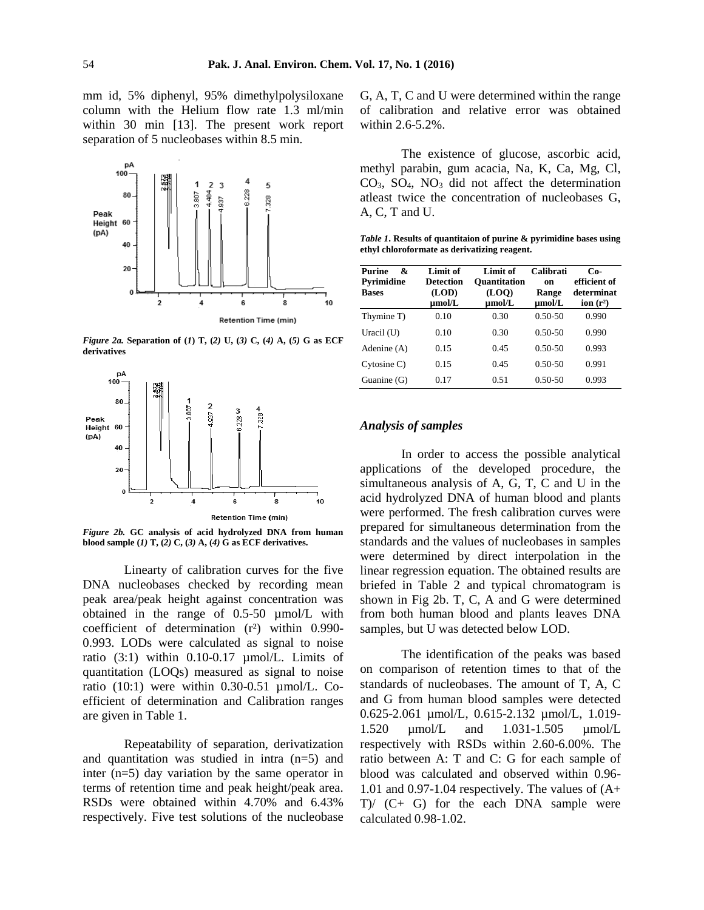mm id, 5% diphenyl, 95% dimethylpolysiloxane column with the Helium flow rate 1.3 ml/min within 30 min [13]. The present work report separation of 5 nucleobases within 8.5 min.



*Figure 2a.* **Separation of (***1***) T, (***2)* **U, (***3)* **C, (***4)* **A, (***5)* **G as ECF derivatives**



*Figure 2b.* **GC analysis of acid hydrolyzed DNA from human blood sample (***1)* **T, (***2)* **C, (***3)* **A, (***4)* **G as ECF derivatives.** 

Linearty of calibration curves for the five DNA nucleobases checked by recording mean peak area/peak height against concentration was obtained in the range of 0.5-50 µmol/L with coefficient of determination (r²) within 0.990- 0.993. LODs were calculated as signal to noise ratio  $(3:1)$  within 0.10-0.17  $\mu$ mol/L. Limits of quantitation (LOQs) measured as signal to noise ratio  $(10:1)$  were within 0.30-0.51  $\mu$ mol/L. Coefficient of determination and Calibration ranges are given in Table 1.

Repeatability of separation, derivatization and quantitation was studied in intra (n=5) and inter (n=5) day variation by the same operator in terms of retention time and peak height/peak area. RSDs were obtained within 4.70% and 6.43% respectively. Five test solutions of the nucleobase G, A, T, C and U were determined within the range of calibration and relative error was obtained within 2.6-5.2%.

The existence of glucose, ascorbic acid, methyl parabin, gum acacia, Na, K, Ca, Mg, Cl,  $CO<sub>3</sub>$ ,  $SO<sub>4</sub>$ ,  $NO<sub>3</sub>$  did not affect the determination atleast twice the concentration of nucleobases G, A, C, T and U.

*Table 1***. Results of quantitaion of purine & pyrimidine bases using ethyl chloroformate as derivatizing reagent.**

| <b>Purine</b><br>&<br>Pyrimidine | Limit of<br><b>Detection</b> | Limit of<br><b>Quantitation</b> | Calibrati<br>on | $Co-$<br>efficient of     |
|----------------------------------|------------------------------|---------------------------------|-----------------|---------------------------|
| <b>Bases</b>                     | (LOD)<br>µmol/L              | (LOO)<br>$\mu$ mol/L            | Range<br>umol/L | determinat<br>ion $(r^2)$ |
| Thymine T)                       | 0.10                         | 0.30                            | $0.50 - 50$     | 0.990                     |
| Uracil $(U)$                     | 0.10                         | 0.30                            | $0.50 - 50$     | 0.990                     |
| Adenine (A)                      | 0.15                         | 0.45                            | $0.50 - 50$     | 0.993                     |
| Cytosine C)                      | 0.15                         | 0.45                            | $0.50 - 50$     | 0.991                     |
| Guanine $(G)$                    | 0.17                         | 0.51                            | $0.50 - 50$     | 0.993                     |

### *Analysis of samples*

In order to access the possible analytical applications of the developed procedure, the simultaneous analysis of A, G, T, C and U in the acid hydrolyzed DNA of human blood and plants were performed. The fresh calibration curves were prepared for simultaneous determination from the standards and the values of nucleobases in samples were determined by direct interpolation in the linear regression equation. The obtained results are briefed in Table 2 and typical chromatogram is shown in Fig 2b. T, C, A and G were determined from both human blood and plants leaves DNA samples, but U was detected below LOD.

The identification of the peaks was based on comparison of retention times to that of the standards of nucleobases. The amount of T, A, C and G from human blood samples were detected 0.625-2.061 µmol/L, 0.615-2.132 µmol/L, 1.019- 1.520 µmol/L and 1.031-1.505 µmol/L respectively with RSDs within 2.60-6.00%. The ratio between A: T and C: G for each sample of blood was calculated and observed within 0.96- 1.01 and 0.97-1.04 respectively. The values of  $(A+$ T)/ (C+ G) for the each DNA sample were calculated 0.98-1.02.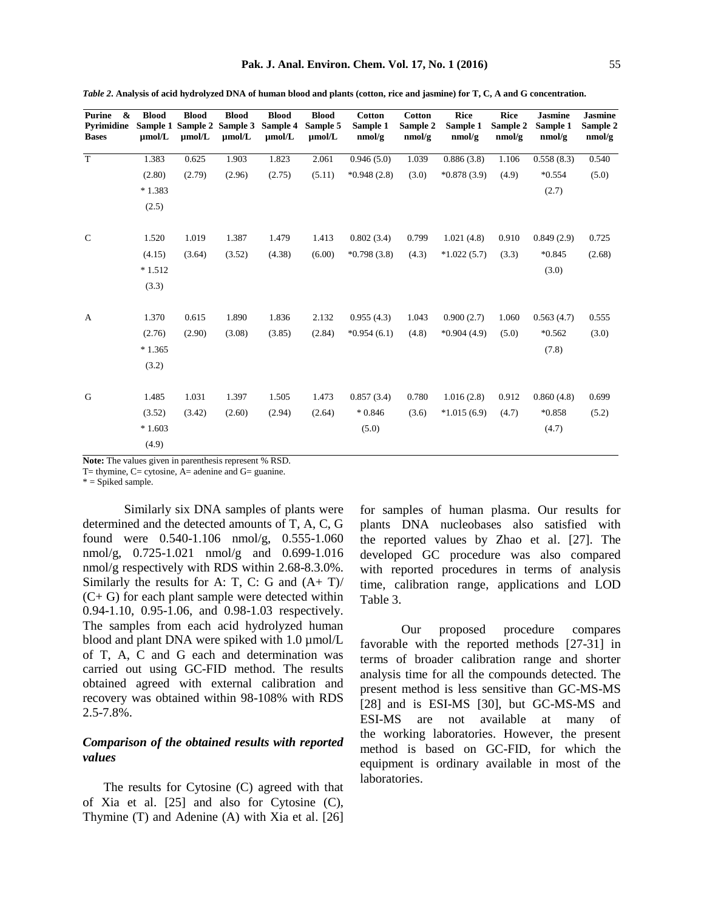| Purine<br>&<br>Pyrimidine<br><b>Bases</b> | <b>Blood</b><br>$\mu$ mol/L | <b>Blood</b><br>$\mu$ mol/L | <b>Blood</b><br>Sample 1 Sample 2 Sample 3<br>$\mu$ mol/L | <b>Blood</b><br>Sample 4<br>$\mu$ mol/L | <b>Blood</b><br>Sample 5<br>$\mu$ mol/L | Cotton<br>Sample 1<br>nmol/g | <b>Cotton</b><br>Sample 2<br>nmol/g | <b>Rice</b><br>Sample 1<br>nmol/g | Rice<br>Sample 2<br>nmol/g | <b>Jasmine</b><br>Sample 1<br>nmol/g | Jasmine<br>Sample 2<br>nmol/g |
|-------------------------------------------|-----------------------------|-----------------------------|-----------------------------------------------------------|-----------------------------------------|-----------------------------------------|------------------------------|-------------------------------------|-----------------------------------|----------------------------|--------------------------------------|-------------------------------|
| T                                         | 1.383                       | 0.625                       | 1.903                                                     | 1.823                                   | 2.061                                   | 0.946(5.0)                   | 1.039                               | 0.886(3.8)                        | 1.106                      | 0.558(8.3)                           | 0.540                         |
|                                           | (2.80)                      | (2.79)                      | (2.96)                                                    | (2.75)                                  | (5.11)                                  | $*0.948(2.8)$                | (3.0)                               | $*0.878(3.9)$                     | (4.9)                      | $*0.554$                             | (5.0)                         |
|                                           | $*1.383$                    |                             |                                                           |                                         |                                         |                              |                                     |                                   |                            | (2.7)                                |                               |
|                                           | (2.5)                       |                             |                                                           |                                         |                                         |                              |                                     |                                   |                            |                                      |                               |
|                                           |                             |                             |                                                           |                                         |                                         |                              |                                     |                                   |                            |                                      |                               |
| $\mathsf{C}$                              | 1.520                       | 1.019                       | 1.387                                                     | 1.479                                   | 1.413                                   | 0.802(3.4)                   | 0.799                               | 1.021(4.8)                        | 0.910                      | 0.849(2.9)                           | 0.725                         |
|                                           | (4.15)                      | (3.64)                      | (3.52)                                                    | (4.38)                                  | (6.00)                                  | $*0.798(3.8)$                | (4.3)                               | $*1.022(5.7)$                     | (3.3)                      | $*0.845$                             | (2.68)                        |
|                                           | $*1.512$                    |                             |                                                           |                                         |                                         |                              |                                     |                                   |                            | (3.0)                                |                               |
|                                           | (3.3)                       |                             |                                                           |                                         |                                         |                              |                                     |                                   |                            |                                      |                               |
|                                           |                             |                             |                                                           |                                         |                                         |                              |                                     |                                   |                            |                                      |                               |
| $\mathbf{A}$                              | 1.370                       | 0.615                       | 1.890                                                     | 1.836                                   | 2.132                                   | 0.955(4.3)                   | 1.043                               | 0.900(2.7)                        | 1.060                      | 0.563(4.7)                           | 0.555                         |
|                                           | (2.76)                      | (2.90)                      | (3.08)                                                    | (3.85)                                  | (2.84)                                  | $*0.954(6.1)$                | (4.8)                               | $*0.904(4.9)$                     | (5.0)                      | $*0.562$                             | (3.0)                         |
|                                           | $*1.365$                    |                             |                                                           |                                         |                                         |                              |                                     |                                   |                            | (7.8)                                |                               |
|                                           | (3.2)                       |                             |                                                           |                                         |                                         |                              |                                     |                                   |                            |                                      |                               |

*Table 2***. Analysis of acid hydrolyzed DNA of human blood and plants (cotton, rice and jasmine) for T, C, A and G concentration.** 

**Note:** The values given in parenthesis represent % RSD.

1.031 (3.42)

1.397 (2.60)

1.505 (2.94)

1.473 (2.64) 0.857 (3.4) \* 0.846 (5.0)

0.780 (3.6)

1.016 (2.8) \*1.015 (6.9) 0.912 (4.7)

0.860 (4.8) \*0.858 (4.7)

0.699 (5.2)

T= thymine, C= cytosine, A= adenine and G= guanine.

 $* =$  Spiked sample.

G 1.485

(3.52) \* 1.603 (4.9)

Similarly six DNA samples of plants were determined and the detected amounts of T, A, C, G found were 0.540-1.106 nmol/g, 0.555-1.060 nmol/g, 0.725-1.021 nmol/g and 0.699-1.016 nmol/g respectively with RDS within 2.68-8.3.0%. Similarly the results for A: T, C: G and  $(A+T)$ / (C+ G) for each plant sample were detected within 0.94-1.10, 0.95-1.06, and 0.98-1.03 respectively. The samples from each acid hydrolyzed human blood and plant DNA were spiked with 1.0 µmol/L of T, A, C and G each and determination was carried out using GC-FID method. The results obtained agreed with external calibration and recovery was obtained within 98-108% with RDS 2.5-7.8%.

# *Comparison of the obtained results with reported values*

The results for Cytosine (C) agreed with that of Xia et al. [25] and also for Cytosine (C), Thymine (T) and Adenine (A) with Xia et al. [26] for samples of human plasma. Our results for plants DNA nucleobases also satisfied with the reported values by Zhao et al. [27]. The developed GC procedure was also compared with reported procedures in terms of analysis time, calibration range, applications and LOD Table 3.

Our proposed procedure compares favorable with the reported methods [27-31] in terms of broader calibration range and shorter analysis time for all the compounds detected. The present method is less sensitive than GC-MS-MS [28] and is ESI-MS [30], but GC-MS-MS and ESI-MS are not available at many of the working laboratories. However, the present method is based on GC-FID, for which the equipment is ordinary available in most of the laboratories.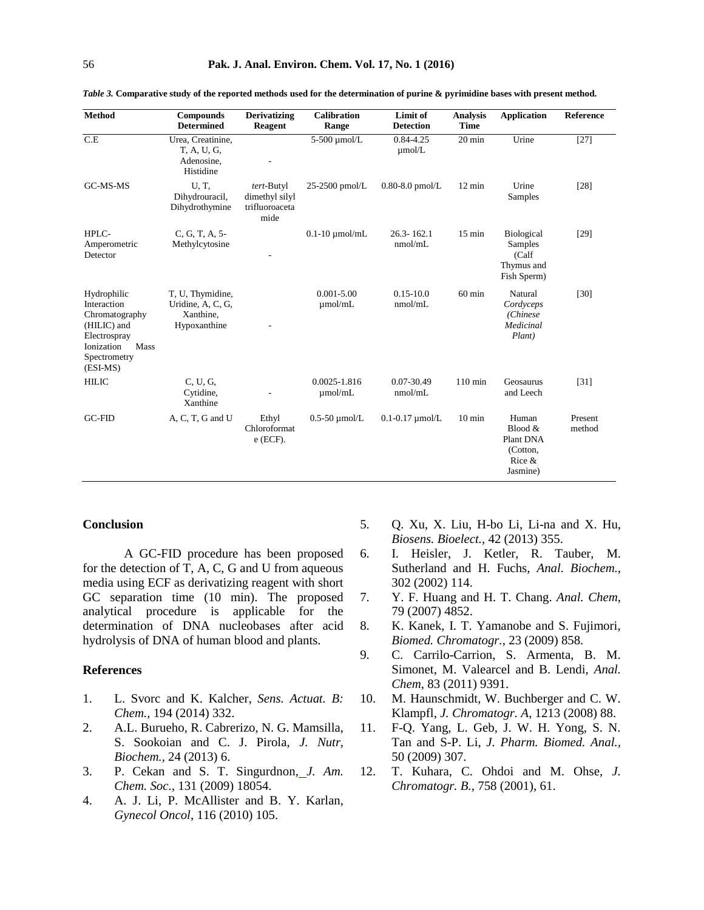| <b>Method</b>                                                                                                                 | Compounds<br><b>Determined</b>                                     | <b>Derivatizing</b><br><b>Reagent</b>                  | <b>Calibration</b><br>Range    | Limit of<br><b>Detection</b> | <b>Analysis</b><br><b>Time</b> | <b>Application</b>                                                 | Reference         |
|-------------------------------------------------------------------------------------------------------------------------------|--------------------------------------------------------------------|--------------------------------------------------------|--------------------------------|------------------------------|--------------------------------|--------------------------------------------------------------------|-------------------|
| C.E                                                                                                                           | Urea, Creatinine,<br>T. A. U. G.<br>Adenosine,<br>Histidine        |                                                        | 5-500 µmol/L                   | 0.84-4.25<br>$\mu$ mol/L     | $20 \text{ min}$               | Urine                                                              | $[27]$            |
| GC-MS-MS                                                                                                                      | U, T.<br>Dihydrouracil,<br>Dihydrothymine                          | tert-Butyl<br>dimethyl silyl<br>trifluoroaceta<br>mide | $25-2500$ pmol/L               | $0.80 - 8.0$ pmol/L          | 12 min                         | Urine<br>Samples                                                   | $[28]$            |
| HPLC-<br>Amperometric<br>Detector                                                                                             | C, G, T, A, 5-<br>Methylcytosine                                   |                                                        | $0.1 - 10 \mu$ mol/mL          | $26.3 - 162.1$<br>nmol/mL    | $15 \text{ min}$               | <b>Biological</b><br>Samples<br>(Calf<br>Thymus and<br>Fish Sperm) | $[29]$            |
| Hydrophilic<br>Interaction<br>Chromatography<br>(HILIC) and<br>Electrospray<br>Mass<br>Ionization<br>Spectrometry<br>(ESI-MS) | T, U, Thymidine,<br>Uridine, A, C, G,<br>Xanthine,<br>Hypoxanthine |                                                        | $0.001 - 5.00$<br>$\mu$ mol/mL | $0.15 - 10.0$<br>nmol/mL     | $60 \text{ min}$               | Natural<br>Cordyceps<br>(Chinese<br>Medicinal<br>Plant)            | $[30]$            |
| <b>HILIC</b>                                                                                                                  | C. U. G.<br>Cytidine,<br>Xanthine                                  |                                                        | 0.0025-1.816<br>umol/mL        | 0.07-30.49<br>nmol/mL        | $110$ min                      | Geosaurus<br>and Leech                                             | $[31]$            |
| <b>GC-FID</b>                                                                                                                 | A, C, T, G and U                                                   | Ethyl<br>Chloroformat<br>$e$ (ECF).                    | $0.5-50$ µmol/L                | $0.1 - 0.17$ $\mu$ mol/L     | $10 \text{ min}$               | Human<br>Blood &<br>Plant DNA<br>(Cotton,<br>Rice &<br>Jasmine)    | Present<br>method |

*Table 3.* **Comparative study of the reported methods used for the determination of purine & pyrimidine bases with present method.**

#### **Conclusion**

A GC-FID procedure has been proposed for the detection of T, A, C, G and U from aqueous media using ECF as derivatizing reagent with short GC separation time (10 min). The proposed analytical procedure is applicable for the determination of DNA nucleobases after acid hydrolysis of DNA of human blood and plants.

#### **References**

- 1. L. Svorc and K. Kalcher, *Sens. Actuat. B: Chem.,* 194 (2014) 332.
- 2. A.L. Burueho, R. Cabrerizo, N. G. Mamsilla, S. Sookoian and C. J. Pirola, *J. Nutr, Biochem.,* 24 (2013) 6.
- 3. P. Cekan and S. T. Singurdnon, *J. Am. Chem. Soc.,* 131 (2009) 18054.
- 4. A. J. Li, P. McAllister and B. Y. Karlan, *Gynecol Oncol*, 116 (2010) 105.
- 5. Q. Xu, X. Liu, H-bo Li, Li-na and X. Hu, *Biosens. Bioelect.*, 42 (2013) 355.
- 6. I. Heisler, J. Ketler, R. Tauber, M. Sutherland and H. Fuchs, *Anal. Biochem.*, 302 (2002) 114.
- 7. Y. F. Huang and H. T. Chang. *Anal. Chem*, 79 (2007) 4852.
- 8. K. Kanek, I. T. Yamanobe and S. Fujimori, *Biomed. Chromatogr.*, 23 (2009) 858.
- 9. C. Carrilo-Carrion, S. Armenta, B. M. Simonet, M. Valearcel and B. Lendi, *Anal. Chem*, 83 (2011) 9391.
- 10. M. Haunschmidt, W. Buchberger and C. W. Klampfl, *J. Chromatogr. A*, 1213 (2008) 88.
- 11. F-Q. Yang, L. Geb, J. W. H. Yong, S. N. Tan and S-P. Li, *J. Pharm. Biomed. Anal.,*  50 (2009) 307.
- 12. T. Kuhara, C. Ohdoi and M. Ohse, *J. Chromatogr. B.*, 758 (2001), 61.